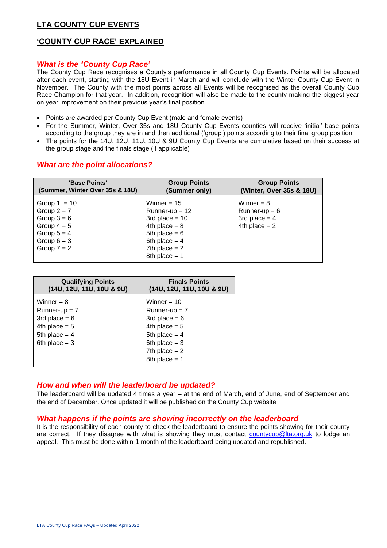# **LTA COUNTY CUP EVENTS**

# **'COUNTY CUP RACE' EXPLAINED**

## *What is the 'County Cup Race'*

The County Cup Race recognises a County's performance in all County Cup Events. Points will be allocated after each event, starting with the 18U Event in March and will conclude with the Winter County Cup Event in November. The County with the most points across all Events will be recognised as the overall County Cup Race Champion for that year. In addition, recognition will also be made to the county making the biggest year on year improvement on their previous year's final position.

- Points are awarded per County Cup Event (male and female events)
- For the Summer, Winter, Over 35s and 18U County Cup Events counties will receive 'initial' base points according to the group they are in and then additional ('group') points according to their final group position
- The points for the 14U, 12U, 11U, 10U & 9U County Cup Events are cumulative based on their success at the group stage and the finals stage (if applicable)

# *What are the point allocations?*

| 'Base Points'                                                                                                        | <b>Group Points</b>                                                                                                                                  | <b>Group Points</b>                                                   |
|----------------------------------------------------------------------------------------------------------------------|------------------------------------------------------------------------------------------------------------------------------------------------------|-----------------------------------------------------------------------|
| (Summer, Winter Over 35s & 18U)                                                                                      | (Summer only)                                                                                                                                        | (Winter, Over 35s & 18U)                                              |
| Group $1 = 10$<br>Group $2 = 7$<br>Group $3 = 6$<br>Group $4 = 5$<br>Group $5 = 4$<br>Group $6 = 3$<br>Group $7 = 2$ | Winner = $15$<br>Runner-up $= 12$<br>3rd place = $10$<br>4th place = $8$<br>5th place = $6$<br>6th place = $4$<br>7th place $= 2$<br>8th place $= 1$ | Winner $= 8$<br>Runner-up $= 6$<br>3rd place $= 4$<br>4th place $= 2$ |

| <b>Qualifying Points</b><br>(14U, 12U, 11U, 10U & 9U) | <b>Finals Points</b><br>(14U, 12U, 11U, 10U & 9U) |
|-------------------------------------------------------|---------------------------------------------------|
| Winner $= 8$                                          | Winner = $10$                                     |
| $Runner-up = 7$                                       | $Runner-up = 7$                                   |
| 3rd place $= 6$                                       | 3rd place $= 6$                                   |
| 4th place $= 5$                                       | 4th place $= 5$                                   |
| 5th place $=$ 4                                       | 5th place = $4$                                   |
| 6th place $=$ 3                                       | 6th place $=$ 3                                   |
|                                                       | 7th place $= 2$                                   |
|                                                       | 8th place = $1$                                   |

## *How and when will the leaderboard be updated?*

The leaderboard will be updated 4 times a year – at the end of March, end of June, end of September and the end of December. Once updated it will be published on the County Cup website

## *What happens if the points are showing incorrectly on the leaderboard*

It is the responsibility of each county to check the leaderboard to ensure the points showing for their county are correct. If they disagree with what is showing they must contact [countycup@lta.org.uk](mailto:countycup@lta.org.uk) to lodge an appeal. This must be done within 1 month of the leaderboard being updated and republished.